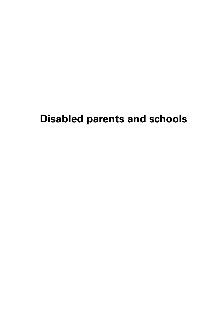# **Disabled parents and schools**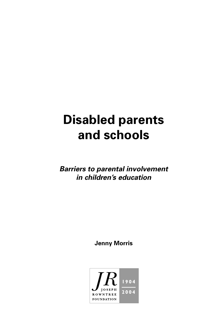# **Disabled parents and schools**

**Barriers to parental involvement in children's education**

**Jenny Morris**

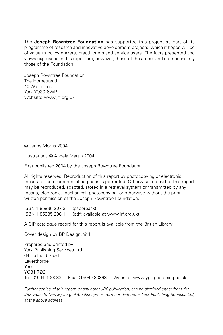The **Joseph Rowntree Foundation** has supported this project as part of its programme of research and innovative development projects, which it hopes will be of value to policy makers, practitioners and service users. The facts presented and views expressed in this report are, however, those of the author and not necessarily those of the Foundation.

Joseph Rowntree Foundation The Homestead 40 Water End York YO30 6WP Website: www.jrf.org.uk

© Jenny Morris 2004

Illustrations © Angela Martin 2004

First published 2004 by the Joseph Rowntree Foundation

All rights reserved. Reproduction of this report by photocopying or electronic means for non-commercial purposes is permitted. Otherwise, no part of this report may be reproduced, adapted, stored in a retrieval system or transmitted by any means, electronic, mechanical, photocopying, or otherwise without the prior written permission of the Joseph Rowntree Foundation.

ISBN 1 85935 207 3 (paperback) ISBN 1 85935 208 1 (pdf: available at www.jrf.org.uk)

A CIP catalogue record for this report is available from the British Library.

Cover design by BP Design, York

Prepared and printed by: York Publishing Services Ltd 64 Hallfield Road **Laverthorpe** York YO31 7ZQ Tel: 01904 430033 Fax: 01904 430868 Website: www.yps-publishing.co.uk

Further copies of this report, or any other JRF publication, can be obtained either from the JRF website (www.jrf.org.uk/bookshop/) or from our distributor, York Publishing Services Ltd, at the above address.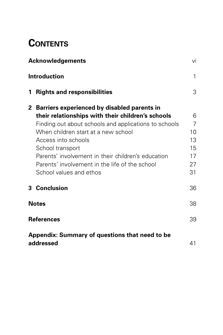## **CONTENTS**

| <b>Acknowledgements</b><br><b>Introduction</b>              |                                                                                                                                                                                                                                                                                                                                                                                  | Vİ                                         |
|-------------------------------------------------------------|----------------------------------------------------------------------------------------------------------------------------------------------------------------------------------------------------------------------------------------------------------------------------------------------------------------------------------------------------------------------------------|--------------------------------------------|
|                                                             |                                                                                                                                                                                                                                                                                                                                                                                  | 1                                          |
| $\mathbf 1$                                                 | <b>Rights and responsibilities</b>                                                                                                                                                                                                                                                                                                                                               | 3                                          |
|                                                             | 2 Barriers experienced by disabled parents in<br>their relationships with their children's schools<br>Finding out about schools and applications to schools<br>When children start at a new school<br>Access into schools<br>School transport<br>Parents' involvement in their children's education<br>Parents' involvement in the life of the school<br>School values and ethos | 6<br>7<br>10<br>13<br>15<br>17<br>27<br>31 |
|                                                             | 3 Conclusion                                                                                                                                                                                                                                                                                                                                                                     | 36                                         |
| <b>Notes</b>                                                |                                                                                                                                                                                                                                                                                                                                                                                  | 38                                         |
| <b>References</b>                                           |                                                                                                                                                                                                                                                                                                                                                                                  | 39                                         |
| Appendix: Summary of questions that need to be<br>addressed |                                                                                                                                                                                                                                                                                                                                                                                  | 41                                         |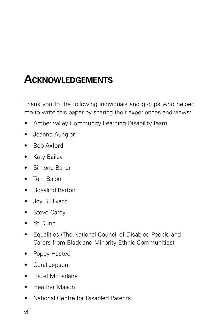# **ACKNOWLEDGEMENTS**

Thank you to the following individuals and groups who helped me to write this paper by sharing their experiences and views:

- Amber Valley Community Learning Disability Team
- Joanne Aungier
- Bob Axford
- Katy Bailey
- Simone Baker
- Terri Balon
- Rosalind Barton
- Joy Bullivant
- Steve Carey
- Yo Dunn
- Equalities (The National Council of Disabled People and Carers from Black and Minority Ethnic Communities)
- Poppy Hasted
- Coral Jepson
- Hazel McFarlane
- Heather Mason
- National Centre for Disabled Parents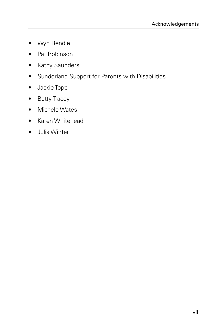- Wyn Rendle
- Pat Robinson
- Kathy Saunders
- Sunderland Support for Parents with Disabilities
- Jackie Topp
- Betty Tracey
- Michele Wates
- Karen Whitehead
- Julia Winter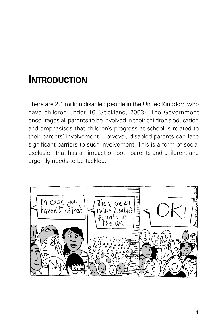## **INTRODUCTION**

There are 2.1 million disabled people in the United Kingdom who have children under 16 (Stickland, 2003). The Government encourages all parents to be involved in their children's education and emphasises that children's progress at school is related to their parents' involvement. However, disabled parents can face significant barriers to such involvement. This is a form of social exclusion that has an impact on both parents and children, and urgently needs to be tackled.

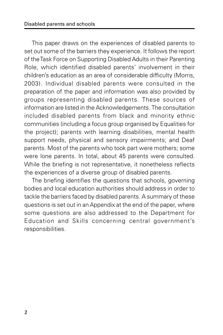This paper draws on the experiences of disabled parents to set out some of the barriers they experience. It follows the report of the Task Force on Supporting Disabled Adults in their Parenting Role, which identified disabled parents' involvement in their children's education as an area of considerable difficulty (Morris, 2003). Individual disabled parents were consulted in the preparation of the paper and information was also provided by groups representing disabled parents. These sources of information are listed in the Acknowledgements. The consultation included disabled parents from black and minority ethnic communities (including a focus group organised by Equalities for the project); parents with learning disabilities, mental health support needs, physical and sensory impairments; and Deaf parents. Most of the parents who took part were mothers; some were lone parents. In total, about 45 parents were consulted. While the briefing is not representative, it nonetheless reflects the experiences of a diverse group of disabled parents.

The briefing identifies the questions that schools, governing bodies and local education authorities should address in order to tackle the barriers faced by disabled parents. A summary of these questions is set out in an Appendix at the end of the paper, where some questions are also addressed to the Department for Education and Skills concerning central government's responsibilities.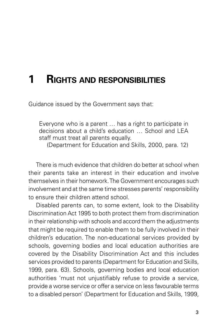## **1 RIGHTS AND RESPONSIBILITIES**

Guidance issued by the Government says that:

Everyone who is a parent … has a right to participate in decisions about a child's education … School and LEA staff must treat all parents equally.

(Department for Education and Skills, 2000, para. 12)

There is much evidence that children do better at school when their parents take an interest in their education and involve themselves in their homework. The Government encourages such involvement and at the same time stresses parents' responsibility to ensure their children attend school.

Disabled parents can, to some extent, look to the Disability Discrimination Act 1995 to both protect them from discrimination in their relationship with schools and accord them the adjustments that might be required to enable them to be fully involved in their children's education. The non-educational services provided by schools, governing bodies and local education authorities are covered by the Disability Discrimination Act and this includes services provided to parents (Department for Education and Skills, 1999, para. 63). Schools, governing bodies and local education authorities 'must not unjustifiably refuse to provide a service, provide a worse service or offer a service on less favourable terms to a disabled person' (Department for Education and Skills, 1999,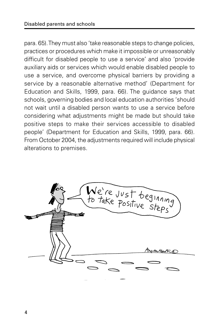para. 65). They must also 'take reasonable steps to change policies, practices or procedures which make it impossible or unreasonably difficult for disabled people to use a service' and also 'provide auxiliary aids or services which would enable disabled people to use a service, and overcome physical barriers by providing a service by a reasonable alternative method' (Department for Education and Skills, 1999, para. 66). The guidance says that schools, governing bodies and local education authorities 'should not wait until a disabled person wants to use a service before considering what adjustments might be made but should take positive steps to make their services accessible to disabled people' (Department for Education and Skills, 1999, para. 66). From October 2004, the adjustments required will include physical alterations to premises.

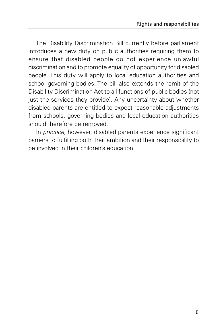The Disability Discrimination Bill currently before parliament introduces a new duty on public authorities requiring them to ensure that disabled people do not experience unlawful discrimination and to promote equality of opportunity for disabled people. This duty will apply to local education authorities and school governing bodies. The bill also extends the remit of the Disability Discrimination Act to all functions of public bodies (not just the services they provide). Any uncertainty about whether disabled parents are entitled to expect reasonable adjustments from schools, governing bodies and local education authorities should therefore be removed.

In practice, however, disabled parents experience significant barriers to fulfilling both their ambition and their responsibility to be involved in their children's education.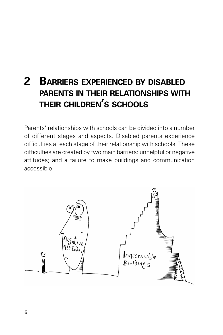## **2 BARRIERS EXPERIENCED BY DISABLED PARENTS IN THEIR RELATIONSHIPS WITH THEIR CHILDREN'S SCHOOLS**

Parents' relationships with schools can be divided into a number of different stages and aspects. Disabled parents experience difficulties at each stage of their relationship with schools. These difficulties are created by two main barriers: unhelpful or negative attitudes; and a failure to make buildings and communication accessible.

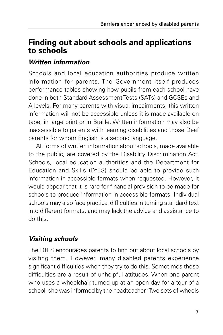### **Finding out about schools and applications to schools**

#### **Written information**

Schools and local education authorities produce written information for parents. The Government itself produces performance tables showing how pupils from each school have done in both Standard Assessment Tests (SATs) and GCSEs and A levels. For many parents with visual impairments, this written information will not be accessible unless it is made available on tape, in large print or in Braille. Written information may also be inaccessible to parents with learning disabilities and those Deaf parents for whom English is a second language.

All forms of written information about schools, made available to the public, are covered by the Disability Discrimination Act. Schools, local education authorities and the Department for Education and Skills (DfES) should be able to provide such information in accessible formats when requested. However, it would appear that it is rare for financial provision to be made for schools to produce information in accessible formats. Individual schools may also face practical difficulties in turning standard text into different formats, and may lack the advice and assistance to do this.

### **Visiting schools**

The DfES encourages parents to find out about local schools by visiting them. However, many disabled parents experience significant difficulties when they try to do this. Sometimes these difficulties are a result of unhelpful attitudes. When one parent who uses a wheelchair turned up at an open day for a tour of a school, she was informed by the headteacher 'Two sets of wheels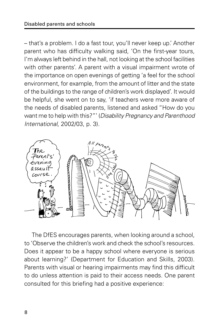– that's a problem. I do a fast tour, you'll never keep up.' Another parent who has difficulty walking said, 'On the first-year tours, I'm always left behind in the hall, not looking at the school facilities with other parents'. A parent with a visual impairment wrote of the importance on open evenings of getting 'a feel for the school environment, for example, from the amount of litter and the state of the buildings to the range of children's work displayed'. It would be helpful, she went on to say, 'if teachers were more aware of the needs of disabled parents, listened and asked "How do you want me to help with this?"' (Disability Pregnancy and Parenthood International, 2002/03, p. 3).



The DfES encourages parents, when looking around a school, to 'Observe the children's work and check the school's resources. Does it appear to be a happy school where everyone is serious about learning?' (Department for Education and Skills, 2003). Parents with visual or hearing impairments may find this difficult to do unless attention is paid to their access needs. One parent consulted for this briefing had a positive experience: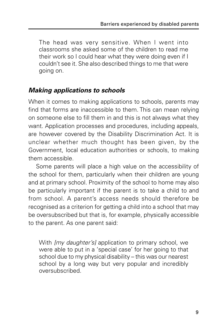The head was very sensitive. When I went into classrooms she asked some of the children to read me their work so I could hear what they were doing even if I couldn't see it. She also described things to me that were going on.

#### **Making applications to schools**

When it comes to making applications to schools, parents may find that forms are inaccessible to them. This can mean relying on someone else to fill them in and this is not always what they want. Application processes and procedures, including appeals, are however covered by the Disability Discrimination Act. It is unclear whether much thought has been given, by the Government, local education authorities or schools, to making them accessible.

Some parents will place a high value on the accessibility of the school for them, particularly when their children are young and at primary school. Proximity of the school to home may also be particularly important if the parent is to take a child to and from school. A parent's access needs should therefore be recognised as a criterion for getting a child into a school that may be oversubscribed but that is, for example, physically accessible to the parent. As one parent said:

With *[my daughter's]* application to primary school, we were able to put in a 'special case' for her going to that school due to my physical disability – this was our nearest school by a long way but very popular and incredibly oversubscribed.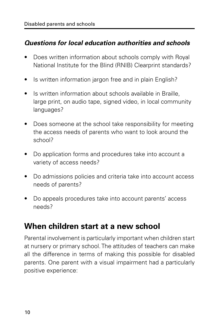#### **Questions for local education authorities and schools**

- Does written information about schools comply with Royal National Institute for the Blind (RNIB) Clearprint standards?
- Is written information jargon free and in plain English?
- Is written information about schools available in Braille, large print, on audio tape, signed video, in local community languages?
- Does someone at the school take responsibility for meeting the access needs of parents who want to look around the school?
- Do application forms and procedures take into account a variety of access needs?
- Do admissions policies and criteria take into account access needs of parents?
- Do appeals procedures take into account parents' access needs?

### **When children start at a new school**

Parental involvement is particularly important when children start at nursery or primary school. The attitudes of teachers can make all the difference in terms of making this possible for disabled parents. One parent with a visual impairment had a particularly positive experience: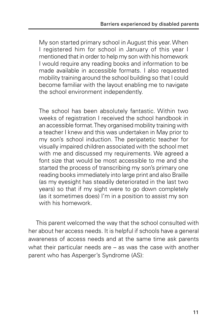My son started primary school in August this year. When I registered him for school in January of this year I mentioned that in order to help my son with his homework I would require any reading books and information to be made available in accessible formats. I also requested mobility training around the school building so that I could become familiar with the layout enabling me to navigate the school environment independently.

The school has been absolutely fantastic. Within two weeks of registration I received the school handbook in an accessible format. They organised mobility training with a teacher I knew and this was undertaken in May prior to my son's school induction. The peripatetic teacher for visually impaired children associated with the school met with me and discussed my requirements. We agreed a font size that would be most accessible to me and she started the process of transcribing my son's primary one reading books immediately into large print and also Braille (as my eyesight has steadily deteriorated in the last two years) so that if my sight were to go down completely (as it sometimes does) I'm in a position to assist my son with his homework.

This parent welcomed the way that the school consulted with her about her access needs. It is helpful if schools have a general awareness of access needs and at the same time ask parents what their particular needs are – as was the case with another parent who has Asperger's Syndrome (AS):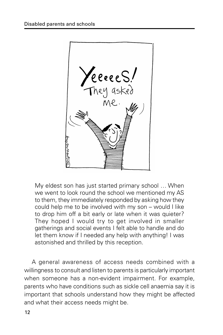

My eldest son has just started primary school … When we went to look round the school we mentioned my AS to them, they immediately responded by asking how they could help me to be involved with my son – would I like to drop him off a bit early or late when it was quieter? They hoped I would try to get involved in smaller gatherings and social events I felt able to handle and do let them know if I needed any help with anything! I was astonished and thrilled by this reception.

A general awareness of access needs combined with a willingness to consult and listen to parents is particularly important when someone has a non-evident impairment. For example, parents who have conditions such as sickle cell anaemia say it is important that schools understand how they might be affected and what their access needs might be.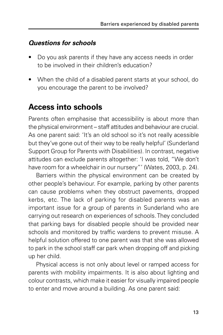#### **Questions for schools**

- Do you ask parents if they have any access needs in order to be involved in their children's education?
- When the child of a disabled parent starts at your school, do you encourage the parent to be involved?

### **Access into schools**

Parents often emphasise that accessibility is about more than the physical environment – staff attitudes and behaviour are crucial. As one parent said: 'It's an old school so it's not really acessible but they've gone out of their way to be really helpful' (Sunderland Support Group for Parents with Disabilities). In contrast, negative attitudes can exclude parents altogether: 'I was told, "We don't have room for a wheelchair in our nursery"' (Wates, 2003, p. 24).

Barriers within the physical environment can be created by other people's behaviour. For example, parking by other parents can cause problems when they obstruct pavements, dropped kerbs, etc. The lack of parking for disabled parents was an important issue for a group of parents in Sunderland who are carrying out research on experiences of schools. They concluded that parking bays for disabled people should be provided near schools and monitored by traffic wardens to prevent misuse. A helpful solution offered to one parent was that she was allowed to park in the school staff car park when dropping off and picking up her child.

Physical access is not only about level or ramped access for parents with mobility impairments. It is also about lighting and colour contrasts, which make it easier for visually impaired people to enter and move around a building. As one parent said: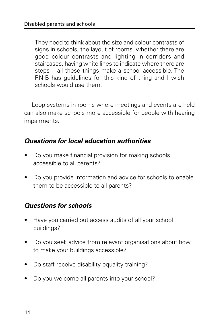They need to think about the size and colour contrasts of signs in schools, the layout of rooms, whether there are good colour contrasts and lighting in corridors and staircases, having white lines to indicate where there are steps – all these things make a school accessible. The RNIB has guidelines for this kind of thing and I wish schools would use them.

Loop systems in rooms where meetings and events are held can also make schools more accessible for people with hearing impairments.

#### **Questions for local education authorities**

- Do you make financial provision for making schools accessible to all parents?
- Do you provide information and advice for schools to enable them to be accessible to all parents?

#### **Questions for schools**

- Have you carried out access audits of all your school buildings?
- Do you seek advice from relevant organisations about how to make your buildings accessible?
- Do staff receive disability equality training?
- Do you welcome all parents into your school?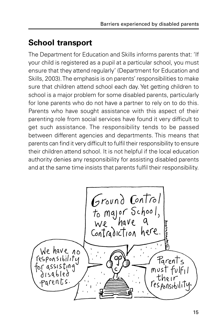## **School transport**

The Department for Education and Skills informs parents that: 'If your child is registered as a pupil at a particular school, you must ensure that they attend regularly' (Department for Education and Skills, 2003). The emphasis is on parents' responsibilities to make sure that children attend school each day. Yet getting children to school is a major problem for some disabled parents, particularly for lone parents who do not have a partner to rely on to do this. Parents who have sought assistance with this aspect of their parenting role from social services have found it very difficult to get such assistance. The responsibility tends to be passed between different agencies and departments. This means that parents can find it very difficult to fulfil their responsibility to ensure their children attend school. It is not helpful if the local education authority denies any responsibility for assisting disabled parents and at the same time insists that parents fulfil their responsibility.

Ground Control<br>to major School,<br>We have a<br>Contradiction here. We have no responsibility Parents must disabled .<br>Parents responsibilit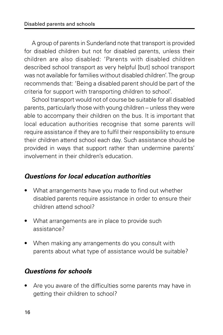A group of parents in Sunderland note that transport is provided for disabled children but not for disabled parents, unless their children are also disabled: 'Parents with disabled children described school transport as very helpful [but] school transport was not available for families without disabled children'. The group recommends that: 'Being a disabled parent should be part of the criteria for support with transporting children to school'.

School transport would not of course be suitable for all disabled parents, particularly those with young children – unless they were able to accompany their children on the bus. It is important that local education authorities recognise that some parents will require assistance if they are to fulfil their responsibility to ensure their children attend school each day. Such assistance should be provided in ways that support rather than undermine parents' involvement in their children's education.

#### **Questions for local education authorities**

- What arrangements have you made to find out whether disabled parents require assistance in order to ensure their children attend school?
- What arrangements are in place to provide such assistance?
- When making any arrangements do you consult with parents about what type of assistance would be suitable?

#### **Questions for schools**

• Are you aware of the difficulties some parents may have in getting their children to school?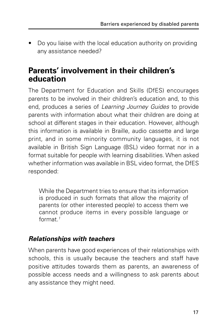• Do you liaise with the local education authority on providing any assistance needed?

### **Parents' involvement in their children's education**

The Department for Education and Skills (DfES) encourages parents to be involved in their children's education and, to this end, produces a series of Learning Journey Guides to provide parents with information about what their children are doing at school at different stages in their education. However, although this information is available in Braille, audio cassette and large print, and in some minority community languages, it is not available in British Sign Language (BSL) video format nor in a format suitable for people with learning disabilities. When asked whether information was available in BSL video format, the DfFS responded:

While the Department tries to ensure that its information is produced in such formats that allow the majority of parents (or other interested people) to access them we cannot produce items in every possible language or format $1$ 

#### **Relationships with teachers**

When parents have good experiences of their relationships with schools, this is usually because the teachers and staff have positive attitudes towards them as parents, an awareness of possible access needs and a willingness to ask parents about any assistance they might need.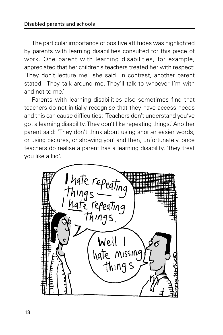The particular importance of positive attitudes was highlighted by parents with learning disabilities consulted for this piece of work. One parent with learning disabilities, for example, appreciated that her children's teachers treated her with respect: 'They don't lecture me', she said. In contrast, another parent stated: 'They talk around me. They'll talk to whoever I'm with and not to me.'

Parents with learning disabilities also sometimes find that teachers do not initially recognise that they have access needs and this can cause difficulties: 'Teachers don't understand you've got a learning disability. They don't like repeating things.' Another parent said: 'They don't think about using shorter easier words, or using pictures, or showing you' and then, unfortunately, once teachers do realise a parent has a learning disability, 'they treat you like a kid'.

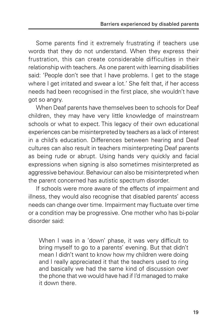Some parents find it extremely frustrating if teachers use words that they do not understand. When they express their frustration, this can create considerable difficulties in their relationship with teachers. As one parent with learning disabilities said: 'People don't see that I have problems. I get to the stage where I get irritated and swear a lot.' She felt that, if her access needs had been recognised in the first place, she wouldn't have got so angry.

When Deaf parents have themselves been to schools for Deaf children, they may have very little knowledge of mainstream schools or what to expect. This legacy of their own educational experiences can be misinterpreted by teachers as a lack of interest in a child's education. Differences between hearing and Deaf cultures can also result in teachers misinterpreting Deaf parents as being rude or abrupt. Using hands very quickly and facial expressions when signing is also sometimes misinterpreted as aggressive behaviour. Behaviour can also be misinterpreted when the parent concerned has autistic spectrum disorder.

If schools were more aware of the effects of impairment and illness, they would also recognise that disabled parents' access needs can change over time. Impairment may fluctuate over time or a condition may be progressive. One mother who has bi-polar disorder said:

When I was in a 'down' phase, it was very difficult to bring myself to go to a parents' evening. But that didn't mean I didn't want to know how my children were doing and I really appreciated it that the teachers used to ring and basically we had the same kind of discussion over the phone that we would have had if I'd managed to make it down there.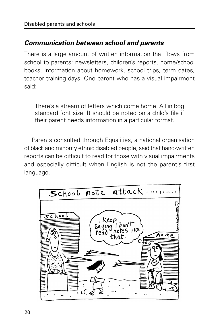#### **Communication between school and parents**

There is a large amount of written information that flows from school to parents: newsletters, children's reports, home/school books, information about homework, school trips, term dates, teacher training days. One parent who has a visual impairment said:

There's a stream of letters which come home. All in bog standard font size. It should be noted on a child's file if their parent needs information in a particular format.

Parents consulted through Equalities, a national organisation of black and minority ethnic disabled people, said that hand-written reports can be difficult to read for those with visual impairments and especially difficult when English is not the parent's first language.

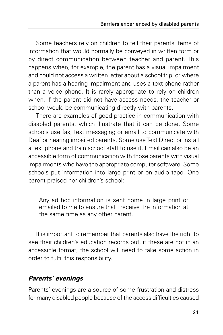Some teachers rely on children to tell their parents items of information that would normally be conveyed in written form or by direct communication between teacher and parent. This happens when, for example, the parent has a visual impairment and could not access a written letter about a school trip; or where a parent has a hearing impairment and uses a text phone rather than a voice phone. It is rarely appropriate to rely on children when, if the parent did not have access needs, the teacher or school would be communicating directly with parents.

There are examples of good practice in communication with disabled parents, which illustrate that it can be done. Some schools use fax, text messaging or email to communicate with Deaf or hearing impaired parents. Some use Text Direct or install a text phone and train school staff to use it. Email can also be an accessible form of communication with those parents with visual impairments who have the appropriate computer software. Some schools put information into large print or on audio tape. One parent praised her children's school:

Any ad hoc information is sent home in large print or emailed to me to ensure that I receive the information at the same time as any other parent.

It is important to remember that parents also have the right to see their children's education records but, if these are not in an accessible format, the school will need to take some action in order to fulfil this responsibility.

#### **Parents' evenings**

Parents' evenings are a source of some frustration and distress for many disabled people because of the access difficulties caused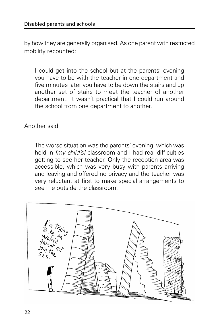by how they are generally organised. As one parent with restricted mobility recounted:

I could get into the school but at the parents' evening you have to be with the teacher in one department and five minutes later you have to be down the stairs and up another set of stairs to meet the teacher of another department. It wasn't practical that I could run around the school from one department to another.

Another said:

The worse situation was the parents' evening, which was held in *Imy child'sI* classroom and I had real difficulties getting to see her teacher. Only the reception area was accessible, which was very busy with parents arriving and leaving and offered no privacy and the teacher was very reluctant at first to make special arrangements to see me outside the classroom.

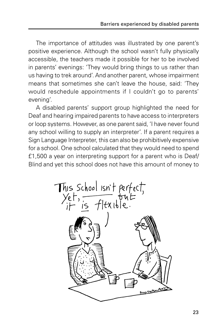The importance of attitudes was illustrated by one parent's positive experience. Although the school wasn't fully physically accessible, the teachers made it possible for her to be involved in parents' evenings: 'They would bring things to us rather than us having to trek around'. And another parent, whose impairment means that sometimes she can't leave the house, said: 'They would reschedule appointments if I couldn't go to parents' evening'.

A disabled parents' support group highlighted the need for Deaf and hearing impaired parents to have access to interpreters or loop systems. However, as one parent said, 'I have never found any school willing to supply an interpreter'. If a parent requires a Sign Language Interpreter, this can also be prohibitively expensive for a school. One school calculated that they would need to spend £1,500 a year on interpreting support for a parent who is Deaf/ Blind and yet this school does not have this amount of money to

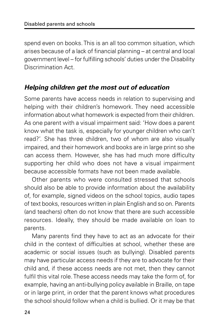spend even on books. This is an all too common situation, which arises because of a lack of financial planning – at central and local government level – for fulfilling schools' duties under the Disability Discrimination Act.

#### **Helping children get the most out of education**

Some parents have access needs in relation to supervising and helping with their children's homework. They need accessible information about what homework is expected from their children. As one parent with a visual impairment said: 'How does a parent know what the task is, especially for younger children who can't read?'. She has three children, two of whom are also visually impaired, and their homework and books are in large print so she can access them. However, she has had much more difficulty supporting her child who does not have a visual impairment because accessible formats have not been made available.

Other parents who were consulted stressed that schools should also be able to provide information about the availability of, for example, signed videos on the school topics, audio tapes of text books, resources written in plain English and so on. Parents (and teachers) often do not know that there are such accessible resources. Ideally, they should be made available on loan to parents.

Many parents find they have to act as an advocate for their child in the context of difficulties at school, whether these are academic or social issues (such as bullying). Disabled parents may have particular access needs if they are to advocate for their child and, if these access needs are not met, then they cannot fulfil this vital role. These access needs may take the form of, for example, having an anti-bullying policy available in Braille, on tape or in large print, in order that the parent knows what procedures the school should follow when a child is bullied. Or it may be that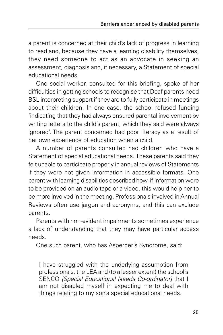a parent is concerned at their child's lack of progress in learning to read and, because they have a learning disability themselves, they need someone to act as an advocate in seeking an assessment, diagnosis and, if necessary, a Statement of special educational needs.

One social worker, consulted for this briefing, spoke of her difficulties in getting schools to recognise that Deaf parents need BSL interpreting support if they are to fully participate in meetings about their children. In one case, the school refused funding 'indicating that they had always ensured parental involvement by writing letters to the child's parent, which they said were always ignored'. The parent concerned had poor literacy as a result of her own experience of education when a child.

A number of parents consulted had children who have a Statement of special educational needs. These parents said they felt unable to participate properly in annual reviews of Statements if they were not given information in accessible formats. One parent with learning disabilities described how, if information were to be provided on an audio tape or a video, this would help her to be more involved in the meeting. Professionals involved in Annual Reviews often use jargon and acronyms, and this can exclude parents.

Parents with non-evident impairments sometimes experience a lack of understanding that they may have particular access needs.

One such parent, who has Asperger's Syndrome, said:

I have struggled with the underlying assumption from professionals, the LEA and (to a lesser extent) the school's SENCO *[Special Educational Needs Co-ordinator]* that I am not disabled myself in expecting me to deal with things relating to my son's special educational needs.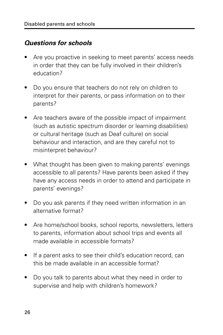#### **Questions for schools**

- Are you proactive in seeking to meet parents' access needs in order that they can be fully involved in their children's education?
- Do you ensure that teachers do not rely on children to interpret for their parents, or pass information on to their parents?
- Are teachers aware of the possible impact of impairment (such as autistic spectrum disorder or learning disabilities) or cultural heritage (such as Deaf culture) on social behaviour and interaction, and are they careful not to misinterpret behaviour?
- What thought has been given to making parents' evenings accessible to all parents? Have parents been asked if they have any access needs in order to attend and participate in parents' evenings?
- Do you ask parents if they need written information in an alternative format?
- Are home/school books, school reports, newsletters, letters to parents, information about school trips and events all made available in accessible formats?
- If a parent asks to see their child's education record, can this be made available in an accessible format?
- Do you talk to parents about what they need in order to supervise and help with children's homework?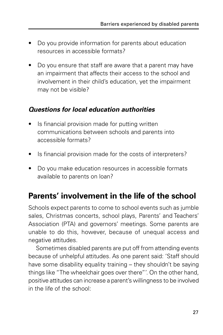- Do you provide information for parents about education resources in accessible formats?
- Do you ensure that staff are aware that a parent may have an impairment that affects their access to the school and involvement in their child's education, yet the impairment may not be visible?

#### **Questions for local education authorities**

- Is financial provision made for putting written communications between schools and parents into accessible formats?
- Is financial provision made for the costs of interpreters?
- Do you make education resources in accessible formats available to parents on loan?

## **Parents' involvement in the life of the school**

Schools expect parents to come to school events such as jumble sales, Christmas concerts, school plays, Parents' and Teachers' Association (PTA) and governors' meetings. Some parents are unable to do this, however, because of unequal access and negative attitudes.

Sometimes disabled parents are put off from attending events because of unhelpful attitudes. As one parent said: 'Staff should have some disability equality training – they shouldn't be saying things like "The wheelchair goes over there"'. On the other hand, positive attitudes can increase a parent's willingness to be involved in the life of the school: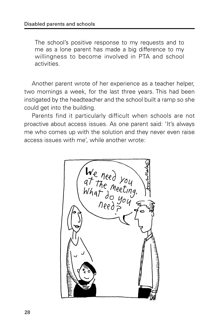The school's positive response to my requests and to me as a lone parent has made a big difference to my willingness to become involved in PTA and school activities.

Another parent wrote of her experience as a teacher helper, two mornings a week, for the last three years. This had been instigated by the headteacher and the school built a ramp so she could get into the building.

Parents find it particularly difficult when schools are not proactive about access issues. As one parent said: 'It's always me who comes up with the solution and they never even raise access issues with me', while another wrote:

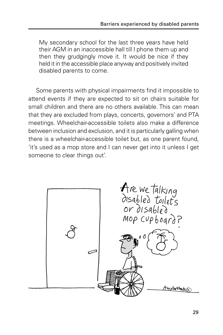My secondary school for the last three years have held their AGM in an inaccessible hall till I phone them up and then they grudgingly move it. It would be nice if they held it in the accessible place anyway and positively invited disabled parents to come.

Some parents with physical impairments find it impossible to attend events if they are expected to sit on chairs suitable for small children and there are no others available. This can mean that they are excluded from plays, concerts, governors' and PTA meetings. Wheelchair-accessible toilets also make a difference between inclusion and exclusion, and it is particularly galling when there is a wheelchair-accessible toilet but, as one parent found, 'it's used as a mop store and I can never get into it unless I get someone to clear things out'.

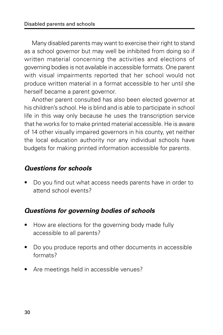Many disabled parents may want to exercise their right to stand as a school governor but may well be inhibited from doing so if written material concerning the activities and elections of governing bodies is not available in accessible formats. One parent with visual impairments reported that her school would not produce written material in a format accessible to her until she herself became a parent governor.

Another parent consulted has also been elected governor at his children's school. He is blind and is able to participate in school life in this way only because he uses the transcription service that he works for to make printed material accessible. He is aware of 14 other visually impaired governors in his county, yet neither the local education authority nor any individual schools have budgets for making printed information accessible for parents.

#### **Questions for schools**

• Do you find out what access needs parents have in order to attend school events?

#### **Questions for governing bodies of schools**

- How are elections for the governing body made fully accessible to all parents?
- Do you produce reports and other documents in accessible formats?
- Are meetings held in accessible venues?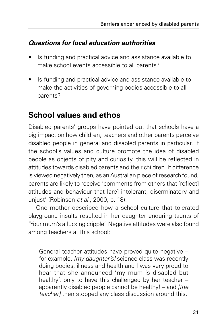#### **Questions for local education authorities**

- Is funding and practical advice and assistance available to make school events accessible to all parents?
- Is funding and practical advice and assistance available to make the activities of governing bodies accessible to all parents?

## **School values and ethos**

Disabled parents' groups have pointed out that schools have a big impact on how children, teachers and other parents perceive disabled people in general and disabled parents in particular. If the school's values and culture promote the idea of disabled people as objects of pity and curiosity, this will be reflected in attitudes towards disabled parents and their children. If difference is viewed negatively then, as an Australian piece of research found, parents are likely to receive 'comments from others that [reflect] attitudes and behaviour that [are] intolerant, discrminatory and unjust' (Robinson et al., 2000, p. 18).

One mother described how a school culture that tolerated playground insults resulted in her daughter enduring taunts of 'Your mum's a fucking cripple'. Negative attitudes were also found among teachers at this school:

General teacher attitudes have proved quite negative – for example, *[my daughter's]* science class was recently doing bodies, illness and health and I was very proud to hear that she announced 'my mum is disabled but healthy', only to have this challenged by her teacher – apparently disabled people cannot be healthy! – and [the teacher] then stopped any class discussion around this.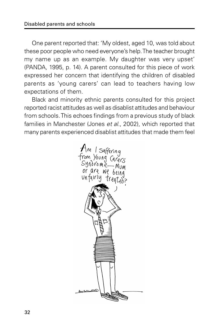One parent reported that: 'My oldest, aged 10, was told about these poor people who need everyone's help. The teacher brought my name up as an example. My daughter was very upset' (PANDA, 1995, p. 14). A parent consulted for this piece of work expressed her concern that identifying the children of disabled parents as 'young carers' can lead to teachers having low expectations of them.

Black and minority ethnic parents consulted for this project reported racist attitudes as well as disablist attitudes and behaviour from schools. This echoes findings from a previous study of black families in Manchester (Jones et al., 2002), which reported that many parents experienced disablist attitudes that made them feel

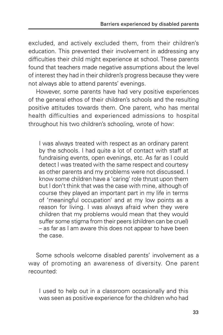excluded, and actively excluded them, from their children's education. This prevented their involvement in addressing any difficulties their child might experience at school. These parents found that teachers made negative assumptions about the level of interest they had in their children's progress because they were not always able to attend parents' evenings.

However, some parents have had very positive experiences of the general ethos of their children's schools and the resulting positive attitudes towards them. One parent, who has mental health difficulties and experienced admissions to hospital throughout his two children's schooling, wrote of how:

I was always treated with respect as an ordinary parent by the schools. I had quite a lot of contact with staff at fundraising events, open evenings, etc. As far as I could detect I was treated with the same respect and courtesy as other parents and my problems were not discussed. I know some children have a 'caring' role thrust upon them but I don't think that was the case with mine, although of course they played an important part in my life in terms of 'meaningful occupation' and at my low points as a reason for living. I was always afraid when they were children that my problems would mean that they would suffer some stigma from their peers (children can be cruel) – as far as I am aware this does not appear to have been the case.

Some schools welcome disabled parents' involvement as a way of promoting an awareness of diversity. One parent recounted:

I used to help out in a classroom occasionally and this was seen as positive experience for the children who had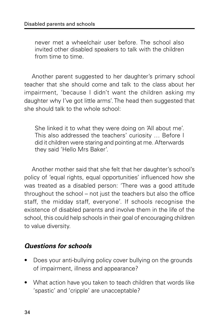never met a wheelchair user before. The school also invited other disabled speakers to talk with the children from time to time.

Another parent suggested to her daughter's primary school teacher that she should come and talk to the class about her impairment, 'because I didn't want the children asking my daughter why I've got little arms'. The head then suggested that she should talk to the whole school:

She linked it to what they were doing on 'All about me'. This also addressed the teachers' curiosity … Before I did it children were staring and pointing at me. Afterwards they said 'Hello Mrs Baker'.

Another mother said that she felt that her daughter's school's policy of 'equal rights, equal opportunities' influenced how she was treated as a disabled person: 'There was a good attitude throughout the school – not just the teachers but also the office staff, the midday staff, everyone'. If schools recognise the existence of disabled parents and involve them in the life of the school, this could help schools in their goal of encouraging children to value diversity.

#### **Questions for schools**

- Does your anti-bullying policy cover bullying on the grounds of impairment, illness and appearance?
- What action have you taken to teach children that words like 'spastic' and 'cripple' are unacceptable?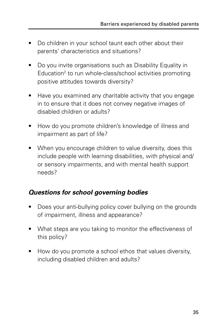- Do children in your school taunt each other about their parents' characteristics and situations?
- Do you invite organisations such as Disability Equality in Education<sup>2</sup> to run whole-class/school activities promoting positive attitudes towards diversity?
- Have you examined any charitable activity that you engage in to ensure that it does not convey negative images of disabled children or adults?
- How do you promote children's knowledge of illness and impairment as part of life?
- When you encourage children to value diversity, does this include people with learning disabilities, with physical and/ or sensory impairments, and with mental health support needs?

#### **Questions for school governing bodies**

- Does your anti-bullying policy cover bullying on the grounds of impairment, illness and appearance?
- What steps are you taking to monitor the effectiveness of this policy?
- How do you promote a school ethos that values diversity, including disabled children and adults?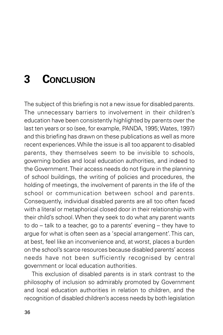# **3 CONCLUSION**

The subject of this briefing is not a new issue for disabled parents. The unnecessary barriers to involvement in their children's education have been consistently highlighted by parents over the last ten years or so (see, for example, PANDA, 1995; Wates, 1997) and this briefing has drawn on these publications as well as more recent experiences. While the issue is all too apparent to disabled parents, they themselves seem to be invisible to schools, governing bodies and local education authorities, and indeed to the Government. Their access needs do not figure in the planning of school buildings, the writing of policies and procedures, the holding of meetings, the involvement of parents in the life of the school or communication between school and parents. Consequently, individual disabled parents are all too often faced with a literal or metaphorical closed door in their relationship with their child's school. When they seek to do what any parent wants to do – talk to a teacher, go to a parents' evening – they have to argue for what is often seen as a 'special arrangement'. This can, at best, feel like an inconvenience and, at worst, places a burden on the school's scarce resources because disabled parents' access needs have not been sufficiently recognised by central government or local education authorities.

This exclusion of disabled parents is in stark contrast to the philosophy of inclusion so admirably promoted by Government and local education authorities in relation to children, and the recognition of disabled children's access needs by both legislation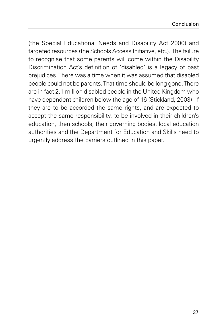(the Special Educational Needs and Disability Act 2000) and targeted resources (the Schools Access Initiative, etc.). The failure to recognise that some parents will come within the Disability Discrimination Act's definition of 'disabled' is a legacy of past prejudices. There was a time when it was assumed that disabled people could not be parents. That time should be long gone. There are in fact 2.1 million disabled people in the United Kingdom who have dependent children below the age of 16 (Stickland, 2003). If they are to be accorded the same rights, and are expected to accept the same responsibility, to be involved in their children's education, then schools, their governing bodies, local education authorities and the Department for Education and Skills need to urgently address the barriers outlined in this paper.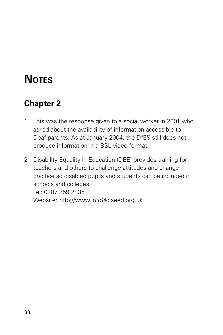# **NOTES**

## **Chapter 2**

- 1 This was the response given to a social worker in 2001 who asked about the availability of information accessible to Deaf parents. As at January 2004, the DfES still does not produce information in a BSL video format.
- 2 Disability Equality in Education (DEE) provides training for teachers and others to challenge attitudes and change practice so disabled pupils and students can be included in schools and colleges. Tel: 0207 359 2835 Website: http://www.info@diseed.org.uk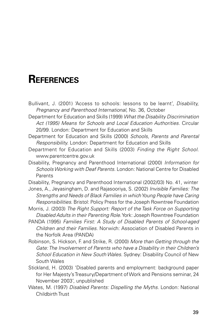## **REFERENCES**

Bullivant, J. (2001) 'Access to schools: lessons to be learnt', Disability, Pregnancy and Parenthood International, No. 36, October

Department for Education and Skills (1999) What the Disability Discrimination Act (1995) Means for Schools and Local Education Authorities. Circular 20/99. London: Department for Education and Skills

Department for Education and Skills (2000) Schools, Parents and Parental Responsibility. London: Department for Education and Skills

- Department for Education and Skills (2003) Finding the Right School. www.parentcentre.gov.uk
- Disability, Pregnancy and Parenthood International (2000) Information for Schools Working with Deaf Parents. London: National Centre for Disabled Parents
- Disability, Pregnancy and Parenthood International (2002/03) No. 41, winter
- Jones, A., Jeyasingham, D. and Rajasooriya, S. (2002) Invisible Families: The Strengths and Needs of Black Families in which Young People have Caring Responsibilities. Bristol: Policy Press for the Joseph Rowntree Foundation
- Morris, J. (2003) The Right Support: Report of the Task Force on Supporting Disabled Adults in their Parenting Role. York: Joseph Rowntree Foundation
- PANDA (1995) Families First: A Study of Disabled Parents of School-aged Children and their Families. Norwich: Association of Disabled Parents in the Norfolk Area (PANDA)
- Robinson, S. Hickson, F. and Strike, R. (2000) More than Getting through the Gate: The Involvement of Parents who have a Disability in their Children's School Education in New South Wales. Sydney: Disability Council of New South Wales
- Stickland, H. (2003) 'Disabled parents and employment: background paper for Her Majesty's Treasury/Department of Work and Pensions seminar, 24 November 2003', unpublished
- Wates, M. (1997) Disabled Parents: Dispelling the Myths. London: National Childbirth Trust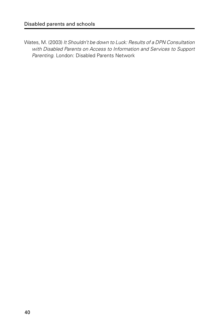Wates, M. (2003) It Shouldn't be down to Luck: Results of a DPN Consultation with Disabled Parents on Access to Information and Services to Support Parenting. London: Disabled Parents Network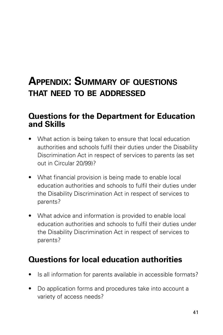## **APPENDIX: SUMMARY OF QUESTIONS THAT NEED TO BE ADDRESSED**

#### **Questions for the Department for Education and Skills**

- What action is being taken to ensure that local education authorities and schools fulfil their duties under the Disability Discrimination Act in respect of services to parents (as set out in Circular 20/99)?
- What financial provision is being made to enable local education authorities and schools to fulfil their duties under the Disability Discrimination Act in respect of services to parents?
- What advice and information is provided to enable local education authorities and schools to fulfil their duties under the Disability Discrimination Act in respect of services to parents?

## **Questions for local education authorities**

- Is all information for parents available in accessible formats?
- Do application forms and procedures take into account a variety of access needs?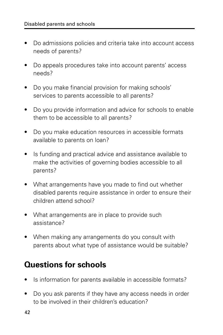- Do admissions policies and criteria take into account access needs of parents?
- Do appeals procedures take into account parents' access needs?
- Do you make financial provision for making schools' services to parents accessible to all parents?
- Do you provide information and advice for schools to enable them to be accessible to all parents?
- Do you make education resources in accessible formats available to parents on loan?
- Is funding and practical advice and assistance available to make the activities of governing bodies accessible to all parents?
- What arrangements have you made to find out whether disabled parents require assistance in order to ensure their children attend school?
- What arrangements are in place to provide such assistance?
- When making any arrangements do you consult with parents about what type of assistance would be suitable?

## **Questions for schools**

- Is information for parents available in accessible formats?
- Do you ask parents if they have any access needs in order to be involved in their children's education?